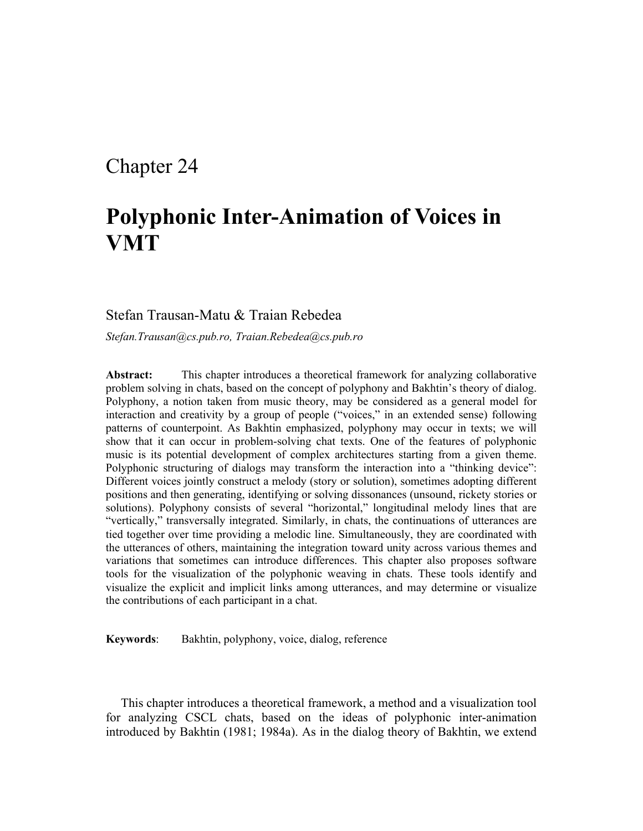# Chapter 24

# **Polyphonic Inter-Animation of Voices in VMT**

## Stefan Trausan-Matu & Traian Rebedea

*Stefan.Trausan@cs.pub.ro, Traian.Rebedea@cs.pub.ro*

**Abstract:** This chapter introduces a theoretical framework for analyzing collaborative problem solving in chats, based on the concept of polyphony and Bakhtin's theory of dialog. Polyphony, a notion taken from music theory, may be considered as a general model for interaction and creativity by a group of people ("voices," in an extended sense) following patterns of counterpoint. As Bakhtin emphasized, polyphony may occur in texts; we will show that it can occur in problem-solving chat texts. One of the features of polyphonic music is its potential development of complex architectures starting from a given theme. Polyphonic structuring of dialogs may transform the interaction into a "thinking device": Different voices jointly construct a melody (story or solution), sometimes adopting different positions and then generating, identifying or solving dissonances (unsound, rickety stories or solutions). Polyphony consists of several "horizontal," longitudinal melody lines that are "vertically," transversally integrated. Similarly, in chats, the continuations of utterances are tied together over time providing a melodic line. Simultaneously, they are coordinated with the utterances of others, maintaining the integration toward unity across various themes and variations that sometimes can introduce differences. This chapter also proposes software tools for the visualization of the polyphonic weaving in chats. These tools identify and visualize the explicit and implicit links among utterances, and may determine or visualize the contributions of each participant in a chat.

**Keywords**: Bakhtin, polyphony, voice, dialog, reference

This chapter introduces a theoretical framework, a method and a visualization tool for analyzing CSCL chats, based on the ideas of polyphonic inter-animation introduced by Bakhtin (1981; 1984a). As in the dialog theory of Bakhtin, we extend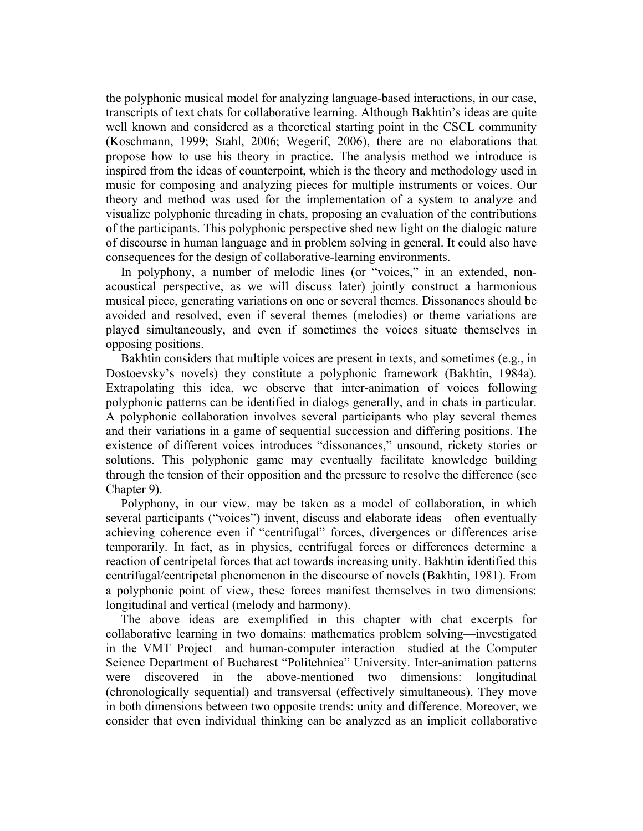the polyphonic musical model for analyzing language-based interactions, in our case, transcripts of text chats for collaborative learning. Although Bakhtin's ideas are quite well known and considered as a theoretical starting point in the CSCL community (Koschmann, 1999; Stahl, 2006; Wegerif, 2006), there are no elaborations that propose how to use his theory in practice. The analysis method we introduce is inspired from the ideas of counterpoint, which is the theory and methodology used in music for composing and analyzing pieces for multiple instruments or voices. Our theory and method was used for the implementation of a system to analyze and visualize polyphonic threading in chats, proposing an evaluation of the contributions of the participants. This polyphonic perspective shed new light on the dialogic nature of discourse in human language and in problem solving in general. It could also have consequences for the design of collaborative-learning environments.

In polyphony, a number of melodic lines (or "voices," in an extended, nonacoustical perspective, as we will discuss later) jointly construct a harmonious musical piece, generating variations on one or several themes. Dissonances should be avoided and resolved, even if several themes (melodies) or theme variations are played simultaneously, and even if sometimes the voices situate themselves in opposing positions.

Bakhtin considers that multiple voices are present in texts, and sometimes (e.g., in Dostoevsky's novels) they constitute a polyphonic framework (Bakhtin, 1984a). Extrapolating this idea, we observe that inter-animation of voices following polyphonic patterns can be identified in dialogs generally, and in chats in particular. A polyphonic collaboration involves several participants who play several themes and their variations in a game of sequential succession and differing positions. The existence of different voices introduces "dissonances," unsound, rickety stories or solutions. This polyphonic game may eventually facilitate knowledge building through the tension of their opposition and the pressure to resolve the difference (see Chapter 9).

Polyphony, in our view, may be taken as a model of collaboration, in which several participants ("voices") invent, discuss and elaborate ideas—often eventually achieving coherence even if "centrifugal" forces, divergences or differences arise temporarily. In fact, as in physics, centrifugal forces or differences determine a reaction of centripetal forces that act towards increasing unity. Bakhtin identified this centrifugal/centripetal phenomenon in the discourse of novels (Bakhtin, 1981). From a polyphonic point of view, these forces manifest themselves in two dimensions: longitudinal and vertical (melody and harmony).

The above ideas are exemplified in this chapter with chat excerpts for collaborative learning in two domains: mathematics problem solving—investigated in the VMT Project—and human-computer interaction—studied at the Computer Science Department of Bucharest "Politehnica" University. Inter-animation patterns were discovered in the above-mentioned two dimensions: longitudinal (chronologically sequential) and transversal (effectively simultaneous), They move in both dimensions between two opposite trends: unity and difference. Moreover, we consider that even individual thinking can be analyzed as an implicit collaborative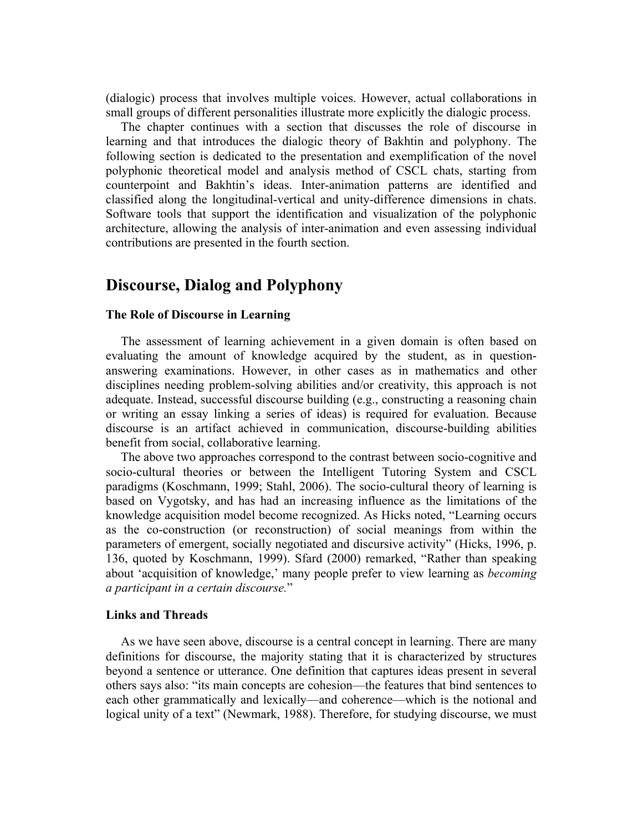(dialogic) process that involves multiple voices. However, actual collaborations in small groups of different personalities illustrate more explicitly the dialogic process.

The chapter continues with a section that discusses the role of discourse in learning and that introduces the dialogic theory of Bakhtin and polyphony. The following section is dedicated to the presentation and exemplification of the novel polyphonic theoretical model and analysis method of CSCL chats, starting from counterpoint and Bakhtin's ideas. Inter-animation patterns are identified and classified along the longitudinal-vertical and unity-difference dimensions in chats. Software tools that support the identification and visualization of the polyphonic architecture, allowing the analysis of inter-animation and even assessing individual contributions are presented in the fourth section.

# **Discourse, Dialog and Polyphony**

## **The Role of Discourse in Learning**

The assessment of learning achievement in a given domain is often based on evaluating the amount of knowledge acquired by the student, as in questionanswering examinations. However, in other cases as in mathematics and other disciplines needing problem-solving abilities and/or creativity, this approach is not adequate. Instead, successful discourse building (e.g., constructing a reasoning chain or writing an essay linking a series of ideas) is required for evaluation. Because discourse is an artifact achieved in communication, discourse-building abilities benefit from social, collaborative learning.

The above two approaches correspond to the contrast between socio-cognitive and socio-cultural theories or between the Intelligent Tutoring System and CSCL paradigms (Koschmann, 1999; Stahl, 2006). The socio-cultural theory of learning is based on Vygotsky, and has had an increasing influence as the limitations of the knowledge acquisition model become recognized. As Hicks noted, "Learning occurs as the co-construction (or reconstruction) of social meanings from within the parameters of emergent, socially negotiated and discursive activity" (Hicks, 1996, p. 136, quoted by Koschmann, 1999). Sfard (2000) remarked, "Rather than speaking about 'acquisition of knowledge,' many people prefer to view learning as *becoming a participant in a certain discourse.*"

## **Links and Threads**

As we have seen above, discourse is a central concept in learning. There are many definitions for discourse, the majority stating that it is characterized by structures beyond a sentence or utterance. One definition that captures ideas present in several others says also: "its main concepts are cohesion—the features that bind sentences to each other grammatically and lexically—and coherence—which is the notional and logical unity of a text" (Newmark, 1988). Therefore, for studying discourse, we must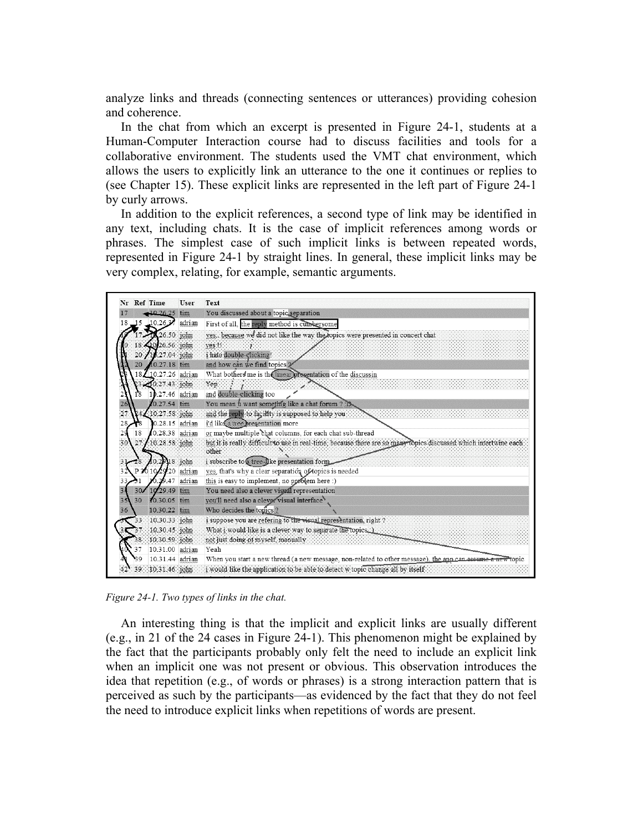analyze links and threads (connecting sentences or utterances) providing cohesion and coherence.

In the chat from which an excerpt is presented in Figure 24-1, students at a Human-Computer Interaction course had to discuss facilities and tools for a collaborative environment. The students used the VMT chat environment, which allows the users to explicitly link an utterance to the one it continues or replies to (see Chapter 15). These explicit links are represented in the left part of Figure 24-1 by curly arrows.

In addition to the explicit references, a second type of link may be identified in any text, including chats. It is the case of implicit references among words or phrases. The simplest case of such implicit links is between repeated words, represented in Figure 24-1 by straight lines. In general, these implicit links may be very complex, relating, for example, semantic arguments.



*Figure 24-1. Two types of links in the chat.*

An interesting thing is that the implicit and explicit links are usually different (e.g., in 21 of the 24 cases in Figure 24-1). This phenomenon might be explained by the fact that the participants probably only felt the need to include an explicit link when an implicit one was not present or obvious. This observation introduces the idea that repetition (e.g., of words or phrases) is a strong interaction pattern that is perceived as such by the participants—as evidenced by the fact that they do not feel the need to introduce explicit links when repetitions of words are present.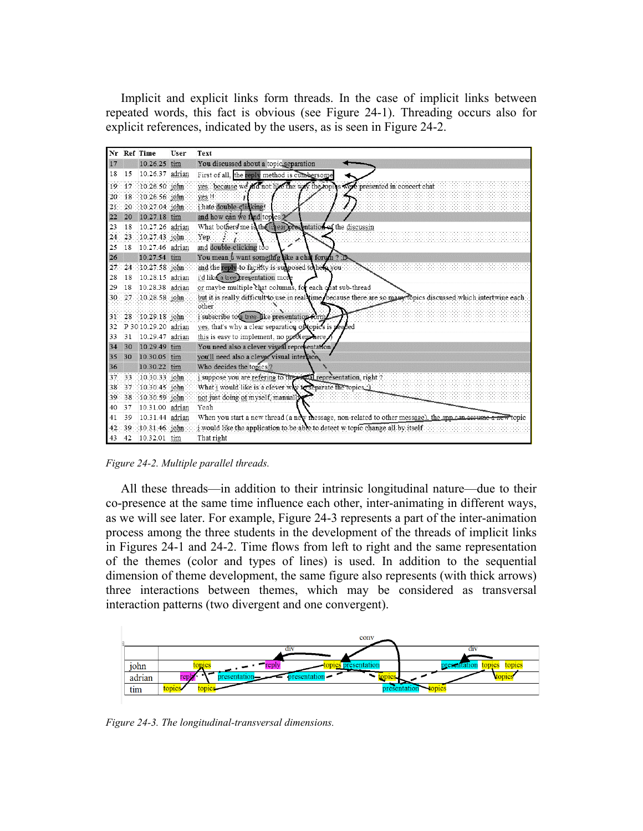Implicit and explicit links form threads. In the case of implicit links between repeated words, this fact is obvious (see Figure 24-1). Threading occurs also for explicit references, indicated by the users, as is seen in Figure 24-2.



*Figure 24-2. Multiple parallel threads.*

All these threads—in addition to their intrinsic longitudinal nature—due to their co-presence at the same time influence each other, inter-animating in different ways, as we will see later. For example, Figure 24-3 represents a part of the inter-animation process among the three students in the development of the threads of implicit links in Figures 24-1 and 24-2. Time flows from left to right and the same representation of the themes (color and types of lines) is used. In addition to the sequential dimension of theme development, the same figure also represents (with thick arrows) three interactions between themes, which may be considered as transversal interaction patterns (two divergent and one convergent).



*Figure 24-3. The longitudinal-transversal dimensions.*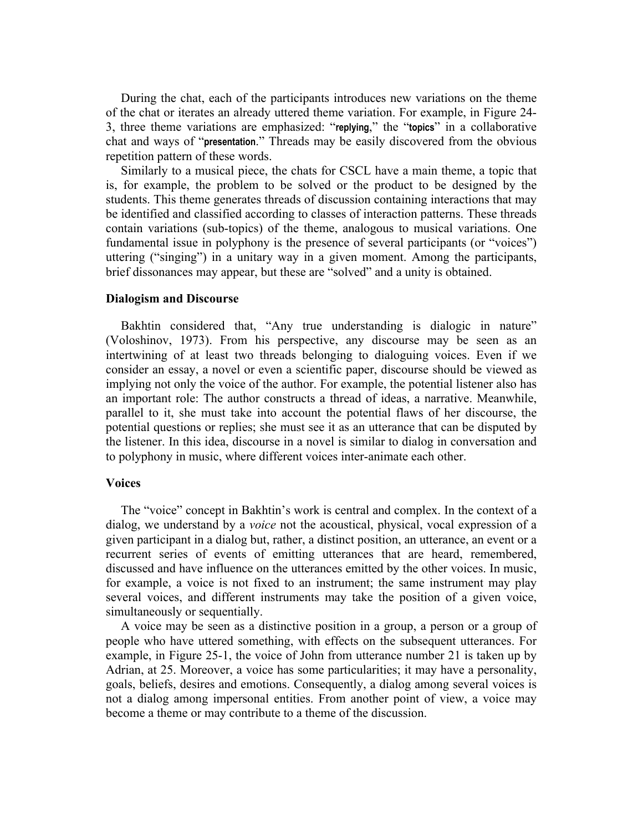During the chat, each of the participants introduces new variations on the theme of the chat or iterates an already uttered theme variation. For example, in Figure 24- 3, three theme variations are emphasized: "**replying**," the "**topics**" in a collaborative chat and ways of "**presentation**." Threads may be easily discovered from the obvious repetition pattern of these words.

Similarly to a musical piece, the chats for CSCL have a main theme, a topic that is, for example, the problem to be solved or the product to be designed by the students. This theme generates threads of discussion containing interactions that may be identified and classified according to classes of interaction patterns. These threads contain variations (sub-topics) of the theme, analogous to musical variations. One fundamental issue in polyphony is the presence of several participants (or "voices") uttering ("singing") in a unitary way in a given moment. Among the participants, brief dissonances may appear, but these are "solved" and a unity is obtained.

#### **Dialogism and Discourse**

Bakhtin considered that, "Any true understanding is dialogic in nature" (Voloshinov, 1973). From his perspective, any discourse may be seen as an intertwining of at least two threads belonging to dialoguing voices. Even if we consider an essay, a novel or even a scientific paper, discourse should be viewed as implying not only the voice of the author. For example, the potential listener also has an important role: The author constructs a thread of ideas, a narrative. Meanwhile, parallel to it, she must take into account the potential flaws of her discourse, the potential questions or replies; she must see it as an utterance that can be disputed by the listener. In this idea, discourse in a novel is similar to dialog in conversation and to polyphony in music, where different voices inter-animate each other.

#### **Voices**

The "voice" concept in Bakhtin's work is central and complex. In the context of a dialog, we understand by a *voice* not the acoustical, physical, vocal expression of a given participant in a dialog but, rather, a distinct position, an utterance, an event or a recurrent series of events of emitting utterances that are heard, remembered, discussed and have influence on the utterances emitted by the other voices. In music, for example, a voice is not fixed to an instrument; the same instrument may play several voices, and different instruments may take the position of a given voice, simultaneously or sequentially.

A voice may be seen as a distinctive position in a group, a person or a group of people who have uttered something, with effects on the subsequent utterances. For example, in Figure 25-1, the voice of John from utterance number 21 is taken up by Adrian, at 25. Moreover, a voice has some particularities; it may have a personality, goals, beliefs, desires and emotions. Consequently, a dialog among several voices is not a dialog among impersonal entities. From another point of view, a voice may become a theme or may contribute to a theme of the discussion.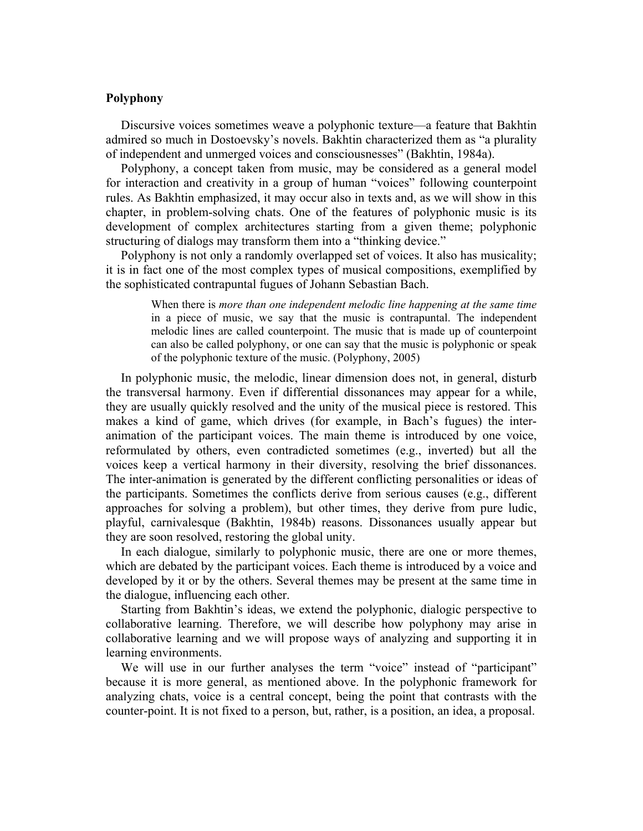## **Polyphony**

Discursive voices sometimes weave a polyphonic texture—a feature that Bakhtin admired so much in Dostoevsky's novels. Bakhtin characterized them as "a plurality of independent and unmerged voices and consciousnesses" (Bakhtin, 1984a).

Polyphony, a concept taken from music, may be considered as a general model for interaction and creativity in a group of human "voices" following counterpoint rules. As Bakhtin emphasized, it may occur also in texts and, as we will show in this chapter, in problem-solving chats. One of the features of polyphonic music is its development of complex architectures starting from a given theme; polyphonic structuring of dialogs may transform them into a "thinking device."

Polyphony is not only a randomly overlapped set of voices. It also has musicality; it is in fact one of the most complex types of musical compositions, exemplified by the sophisticated contrapuntal fugues of Johann Sebastian Bach.

> When there is *more than one independent melodic line happening at the same time* in a piece of music, we say that the music is contrapuntal. The independent melodic lines are called counterpoint. The music that is made up of counterpoint can also be called polyphony, or one can say that the music is polyphonic or speak of the polyphonic texture of the music. (Polyphony, 2005)

In polyphonic music, the melodic, linear dimension does not, in general, disturb the transversal harmony. Even if differential dissonances may appear for a while, they are usually quickly resolved and the unity of the musical piece is restored. This makes a kind of game, which drives (for example, in Bach's fugues) the interanimation of the participant voices. The main theme is introduced by one voice, reformulated by others, even contradicted sometimes (e.g., inverted) but all the voices keep a vertical harmony in their diversity, resolving the brief dissonances. The inter-animation is generated by the different conflicting personalities or ideas of the participants. Sometimes the conflicts derive from serious causes (e.g., different approaches for solving a problem), but other times, they derive from pure ludic, playful, carnivalesque (Bakhtin, 1984b) reasons. Dissonances usually appear but they are soon resolved, restoring the global unity.

In each dialogue, similarly to polyphonic music, there are one or more themes, which are debated by the participant voices. Each theme is introduced by a voice and developed by it or by the others. Several themes may be present at the same time in the dialogue, influencing each other.

Starting from Bakhtin's ideas, we extend the polyphonic, dialogic perspective to collaborative learning. Therefore, we will describe how polyphony may arise in collaborative learning and we will propose ways of analyzing and supporting it in learning environments.

We will use in our further analyses the term "voice" instead of "participant" because it is more general, as mentioned above. In the polyphonic framework for analyzing chats, voice is a central concept, being the point that contrasts with the counter-point. It is not fixed to a person, but, rather, is a position, an idea, a proposal.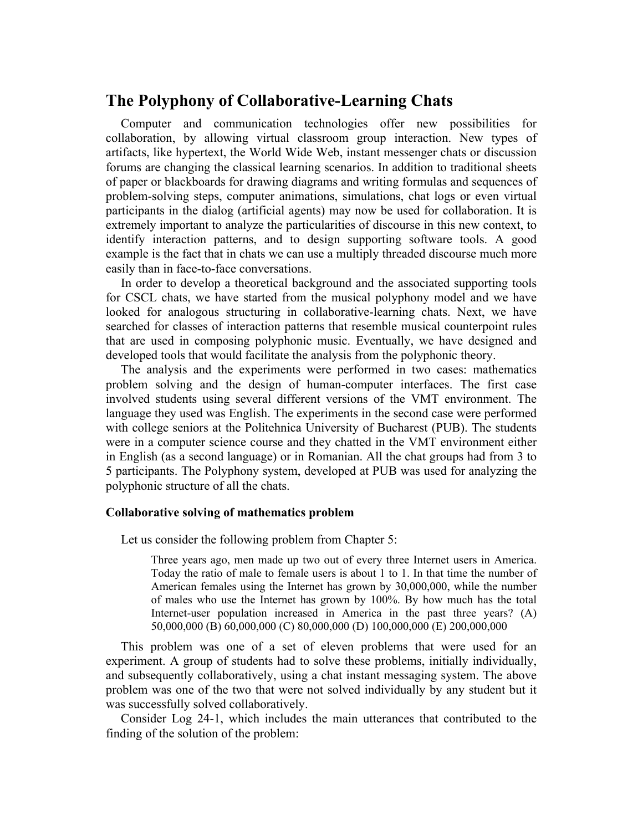# **The Polyphony of Collaborative-Learning Chats**

Computer and communication technologies offer new possibilities for collaboration, by allowing virtual classroom group interaction. New types of artifacts, like hypertext, the World Wide Web, instant messenger chats or discussion forums are changing the classical learning scenarios. In addition to traditional sheets of paper or blackboards for drawing diagrams and writing formulas and sequences of problem-solving steps, computer animations, simulations, chat logs or even virtual participants in the dialog (artificial agents) may now be used for collaboration. It is extremely important to analyze the particularities of discourse in this new context, to identify interaction patterns, and to design supporting software tools. A good example is the fact that in chats we can use a multiply threaded discourse much more easily than in face-to-face conversations.

In order to develop a theoretical background and the associated supporting tools for CSCL chats, we have started from the musical polyphony model and we have looked for analogous structuring in collaborative-learning chats. Next, we have searched for classes of interaction patterns that resemble musical counterpoint rules that are used in composing polyphonic music. Eventually, we have designed and developed tools that would facilitate the analysis from the polyphonic theory.

The analysis and the experiments were performed in two cases: mathematics problem solving and the design of human-computer interfaces. The first case involved students using several different versions of the VMT environment. The language they used was English. The experiments in the second case were performed with college seniors at the Politehnica University of Bucharest (PUB). The students were in a computer science course and they chatted in the VMT environment either in English (as a second language) or in Romanian. All the chat groups had from 3 to 5 participants. The Polyphony system, developed at PUB was used for analyzing the polyphonic structure of all the chats.

## **Collaborative solving of mathematics problem**

Let us consider the following problem from Chapter 5:

Three years ago, men made up two out of every three Internet users in America. Today the ratio of male to female users is about 1 to 1. In that time the number of American females using the Internet has grown by 30,000,000, while the number of males who use the Internet has grown by 100%. By how much has the total Internet-user population increased in America in the past three years? (A) 50,000,000 (B) 60,000,000 (C) 80,000,000 (D) 100,000,000 (E) 200,000,000

This problem was one of a set of eleven problems that were used for an experiment. A group of students had to solve these problems, initially individually, and subsequently collaboratively, using a chat instant messaging system. The above problem was one of the two that were not solved individually by any student but it was successfully solved collaboratively.

Consider Log 24-1, which includes the main utterances that contributed to the finding of the solution of the problem: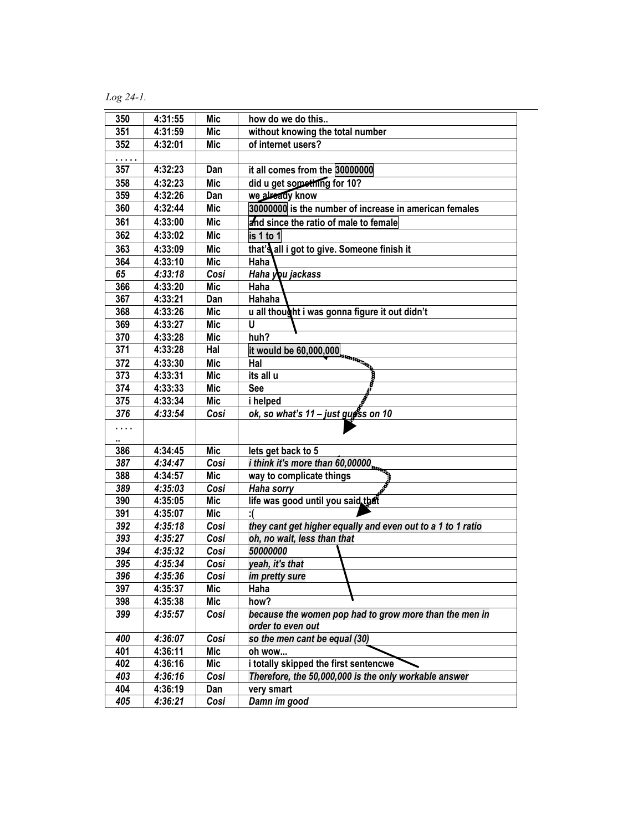*Log 24-1.*

| 350              | 4:31:55            | <b>Mic</b> | how do we do this                                                |
|------------------|--------------------|------------|------------------------------------------------------------------|
| 351              | 4:31:59            | <b>Mic</b> | without knowing the total number                                 |
| 352              | 4:32:01            | <b>Mic</b> | of internet users?                                               |
| .                |                    |            |                                                                  |
| 357              | 4:32:23            | Dan        | it all comes from the 30000000                                   |
| 358              | 4:32:23            | <b>Mic</b> | did u get something for 10?                                      |
| 359              | 4:32:26            | Dan        | we already know                                                  |
| 360              | 4:32:44            | <b>Mic</b> | 30000000 is the number of increase in american females           |
| 361              | 4:33:00            | Mic        | and since the ratio of male to female                            |
| 362              | 4:33:02            | <b>Mic</b> | is 1 to 1                                                        |
| 363              | 4:33:09            | <b>Mic</b> | that's all i got to give. Someone finish it                      |
| 364              | 4:33:10            | <b>Mic</b> | Haha                                                             |
| 65               | 4:33:18            | Cosi       | Haha you jackass                                                 |
| 366              | 4:33:20            | <b>Mic</b> | Haha                                                             |
| 367              | 4:33:21            | Dan        | Hahaha                                                           |
| 368              | 4:33:26            | <b>Mic</b> | u all thought i was gonna figure it out didn't                   |
| 369              | 4:33:27            | <b>Mic</b> | U                                                                |
| 370              | 4:33:28            | <b>Mic</b> | huh?                                                             |
| 371              | 4:33:28            | Hal        | hun <i>։</i><br>it would be 60,000, <mark>000</mark> տուգություն |
| 372              | 4:33:30            | Mic        |                                                                  |
| $\overline{373}$ | 4:33:31            | <b>Mic</b> | its all u                                                        |
| $\overline{374}$ | 4:33:33            | <b>Mic</b> | <b>See</b>                                                       |
| 375              | 4:33:34            | <b>Mic</b> | i helped                                                         |
| 376              |                    |            |                                                                  |
|                  | 4:33:54            | Cosi       | ok, so what's $11 -$ just gugs son 10                            |
| .<br>.,          |                    |            |                                                                  |
| 386              | 4:34:45            | <b>Mic</b> | lets get back to 5                                               |
| 387              | 4:34:47            | Cosi       | i think it's more than 60,00000.                                 |
| 388              | 4:34:57            | <b>Mic</b> | way to complicate things                                         |
| 389              | 4:35:03            | Cosi       | Haha sorry                                                       |
| 390              | 4:35:05            | <b>Mic</b> | life was good until you said that                                |
| 391              | 4:35:07            | <b>Mic</b> |                                                                  |
| 392              | 4:35:18            | Cosi       | they cant get higher equally and even out to a 1 to 1 ratio      |
| 393              | 4:35:27            | Cosi       | oh, no wait, less than that                                      |
| 394              | 4:35:32            | Cosi       | 50000000                                                         |
| 395              | 4:35:34            | Cosi       | yeah, it's that                                                  |
| 396              | 4:35:36            | Cosi       | im pretty sure                                                   |
| 397              | 4:35:37            | Mic        | Haha                                                             |
| 398              | 4:35:38            | Mic        | how?                                                             |
| 399              | 4:35:57            | Cosi       | because the women pop had to grow more than the men in           |
|                  |                    |            | order to even out                                                |
| 400              | 4:36:07            | Cosi       | so the men cant be equal (30)                                    |
| 401              | 4:36:11            | Mic        | oh wow                                                           |
| 402              | 4:36:16            | Mic        | i totally skipped the first sentencwe                            |
| 403              | 4:36:16            | Cosi       | Therefore, the 50,000,000 is the only workable answer            |
| 404              |                    | Dan        | very smart                                                       |
|                  |                    |            |                                                                  |
| 405              | 4:36:19<br>4:36:21 | Cosi       | Damn im good                                                     |

L,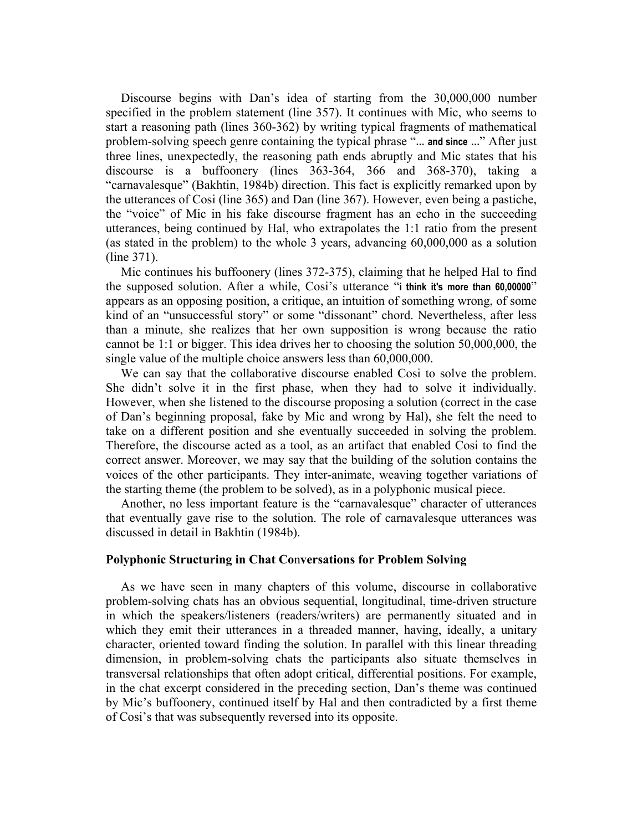Discourse begins with Dan's idea of starting from the 30,000,000 number specified in the problem statement (line 357). It continues with Mic, who seems to start a reasoning path (lines 360-362) by writing typical fragments of mathematical problem-solving speech genre containing the typical phrase "**… and since …**" After just three lines, unexpectedly, the reasoning path ends abruptly and Mic states that his discourse is a buffoonery (lines 363-364, 366 and 368-370), taking a "carnavalesque" (Bakhtin, 1984b) direction. This fact is explicitly remarked upon by the utterances of Cosi (line 365) and Dan (line 367). However, even being a pastiche, the "voice" of Mic in his fake discourse fragment has an echo in the succeeding utterances, being continued by Hal, who extrapolates the 1:1 ratio from the present (as stated in the problem) to the whole 3 years, advancing 60,000,000 as a solution (line 371).

Mic continues his buffoonery (lines 372-375), claiming that he helped Hal to find the supposed solution. After a while, Cosi's utterance "**i think it's more than 60,00000**" appears as an opposing position, a critique, an intuition of something wrong, of some kind of an "unsuccessful story" or some "dissonant" chord. Nevertheless, after less than a minute, she realizes that her own supposition is wrong because the ratio cannot be 1:1 or bigger. This idea drives her to choosing the solution 50,000,000, the single value of the multiple choice answers less than  $60,000,000$ .

We can say that the collaborative discourse enabled Cosi to solve the problem. She didn't solve it in the first phase, when they had to solve it individually. However, when she listened to the discourse proposing a solution (correct in the case of Dan's beginning proposal, fake by Mic and wrong by Hal), she felt the need to take on a different position and she eventually succeeded in solving the problem. Therefore, the discourse acted as a tool, as an artifact that enabled Cosi to find the correct answer. Moreover, we may say that the building of the solution contains the voices of the other participants. They inter-animate, weaving together variations of the starting theme (the problem to be solved), as in a polyphonic musical piece.

Another, no less important feature is the "carnavalesque" character of utterances that eventually gave rise to the solution. The role of carnavalesque utterances was discussed in detail in Bakhtin (1984b).

### **Polyphonic Structuring in Chat Co**n**versations for Problem Solving**

As we have seen in many chapters of this volume, discourse in collaborative problem-solving chats has an obvious sequential, longitudinal, time-driven structure in which the speakers/listeners (readers/writers) are permanently situated and in which they emit their utterances in a threaded manner, having, ideally, a unitary character, oriented toward finding the solution. In parallel with this linear threading dimension, in problem-solving chats the participants also situate themselves in transversal relationships that often adopt critical, differential positions. For example, in the chat excerpt considered in the preceding section, Dan's theme was continued by Mic's buffoonery, continued itself by Hal and then contradicted by a first theme of Cosi's that was subsequently reversed into its opposite.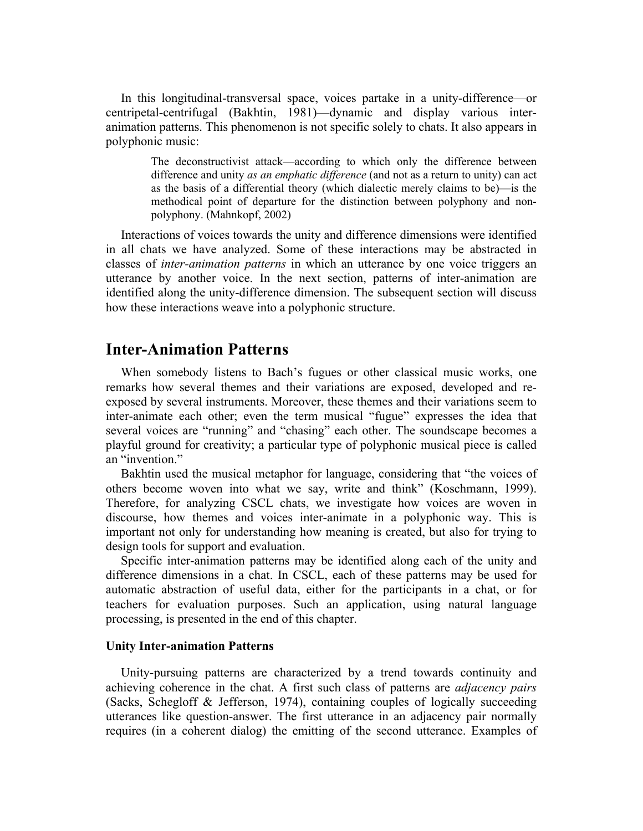In this longitudinal-transversal space, voices partake in a unity-difference—or centripetal-centrifugal (Bakhtin, 1981)—dynamic and display various interanimation patterns. This phenomenon is not specific solely to chats. It also appears in polyphonic music:

> The deconstructivist attack—according to which only the difference between difference and unity *as an emphatic difference* (and not as a return to unity) can act as the basis of a differential theory (which dialectic merely claims to be)—is the methodical point of departure for the distinction between polyphony and nonpolyphony. (Mahnkopf, 2002)

Interactions of voices towards the unity and difference dimensions were identified in all chats we have analyzed. Some of these interactions may be abstracted in classes of *inter-animation patterns* in which an utterance by one voice triggers an utterance by another voice. In the next section, patterns of inter-animation are identified along the unity-difference dimension. The subsequent section will discuss how these interactions weave into a polyphonic structure.

## **Inter-Animation Patterns**

When somebody listens to Bach's fugues or other classical music works, one remarks how several themes and their variations are exposed, developed and reexposed by several instruments. Moreover, these themes and their variations seem to inter-animate each other; even the term musical "fugue" expresses the idea that several voices are "running" and "chasing" each other. The soundscape becomes a playful ground for creativity; a particular type of polyphonic musical piece is called an "invention"

Bakhtin used the musical metaphor for language, considering that "the voices of others become woven into what we say, write and think" (Koschmann, 1999). Therefore, for analyzing CSCL chats, we investigate how voices are woven in discourse, how themes and voices inter-animate in a polyphonic way. This is important not only for understanding how meaning is created, but also for trying to design tools for support and evaluation.

Specific inter-animation patterns may be identified along each of the unity and difference dimensions in a chat. In CSCL, each of these patterns may be used for automatic abstraction of useful data, either for the participants in a chat, or for teachers for evaluation purposes. Such an application, using natural language processing, is presented in the end of this chapter.

## **Unity Inter-animation Patterns**

Unity-pursuing patterns are characterized by a trend towards continuity and achieving coherence in the chat. A first such class of patterns are *adjacency pairs* (Sacks, Schegloff & Jefferson, 1974), containing couples of logically succeeding utterances like question-answer. The first utterance in an adjacency pair normally requires (in a coherent dialog) the emitting of the second utterance. Examples of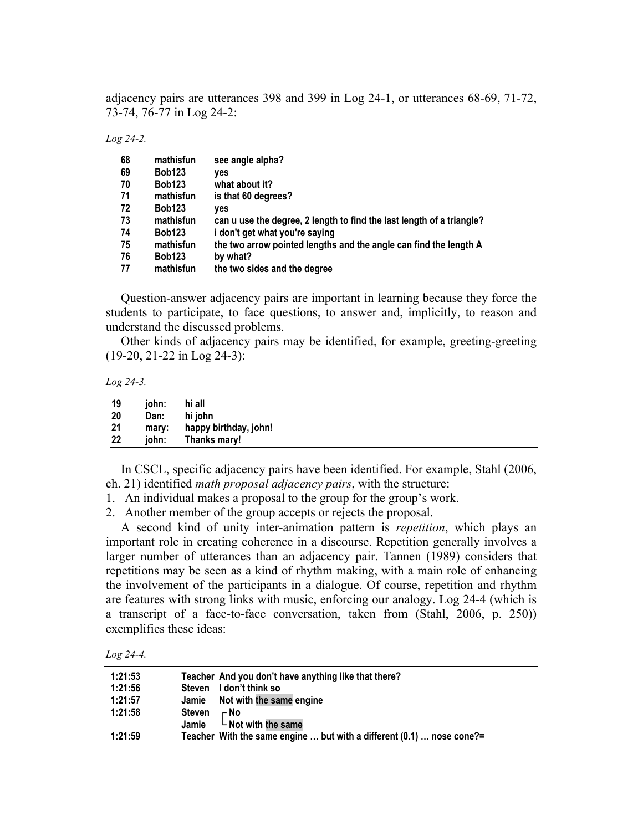adjacency pairs are utterances 398 and 399 in Log 24-1, or utterances 68-69, 71-72, 73-74, 76-77 in Log 24-2:

| г.<br>г. |  |
|----------|--|
|          |  |

| 68 | mathisfun     | see angle alpha?                                                      |
|----|---------------|-----------------------------------------------------------------------|
| 69 | <b>Bob123</b> | ves                                                                   |
| 70 | <b>Bob123</b> | what about it?                                                        |
| 71 | mathisfun     | is that 60 degrees?                                                   |
| 72 | <b>Bob123</b> | ves                                                                   |
| 73 | mathisfun     | can u use the degree, 2 length to find the last length of a triangle? |
| 74 | <b>Bob123</b> | i don't get what you're saying                                        |
| 75 | mathisfun     | the two arrow pointed lengths and the angle can find the length A     |
| 76 | <b>Bob123</b> | by what?                                                              |
| 77 | mathisfun     | the two sides and the degree                                          |

Question-answer adjacency pairs are important in learning because they force the students to participate, to face questions, to answer and, implicitly, to reason and understand the discussed problems.

Other kinds of adjacency pairs may be identified, for example, greeting-greeting (19-20, 21-22 in Log 24-3):

*Log 24-3.*

| 19   | iohn: | hi all                      |
|------|-------|-----------------------------|
| 20   | Dan:  | hi iohn                     |
| - 21 |       | mary: happy birthday, john! |
| 22   | iohn: | Thanks mary!                |

In CSCL, specific adjacency pairs have been identified. For example, Stahl (2006, ch. 21) identified *math proposal adjacency pairs*, with the structure:

- 1. An individual makes a proposal to the group for the group's work.
- 2. Another member of the group accepts or rejects the proposal.

A second kind of unity inter-animation pattern is *repetition*, which plays an important role in creating coherence in a discourse. Repetition generally involves a larger number of utterances than an adjacency pair. Tannen (1989) considers that repetitions may be seen as a kind of rhythm making, with a main role of enhancing the involvement of the participants in a dialogue. Of course, repetition and rhythm are features with strong links with music, enforcing our analogy. Log 24-4 (which is a transcript of a face-to-face conversation, taken from (Stahl, 2006, p. 250)) exemplifies these ideas:

*Log 24-4.*

| 1:21:53 | Teacher And you don't have anything like that there?                   |
|---------|------------------------------------------------------------------------|
| 1:21:56 | Steven I don't think so                                                |
| 1:21:57 | Not with the same engine<br>Jamie                                      |
| 1:21:58 | Steven $\Gamma$ No<br>L Not with the same<br>Jamie                     |
| 1:21:59 | Teacher With the same engine  but with a different $(0.1)$ nose cone?= |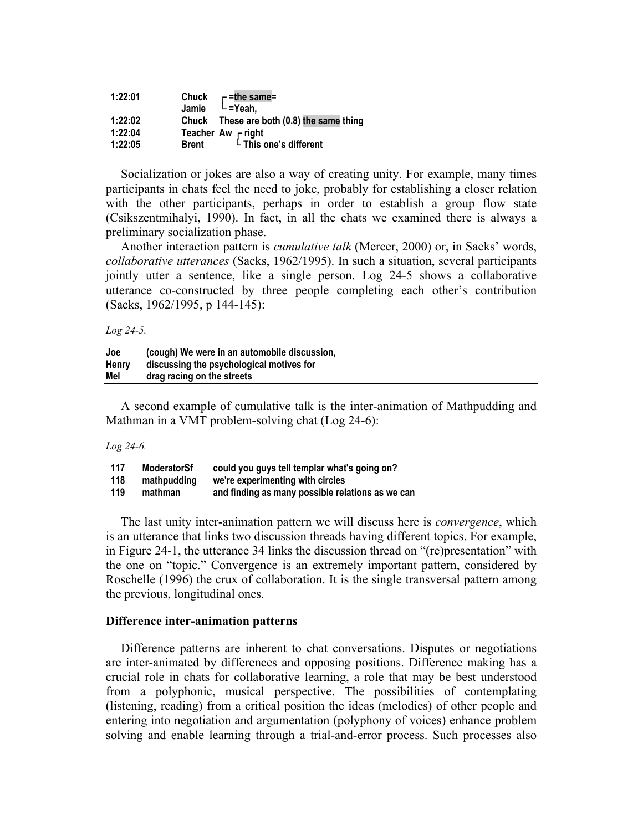| 1:22:01 | Chuck $\Gamma$ =the same=<br>Jamie $\Gamma$ =Yeah,               |
|---------|------------------------------------------------------------------|
|         |                                                                  |
| 1:22:02 | Chuck These are both (0.8) the same thing                        |
| 1:22:04 |                                                                  |
| 1:22:05 | سمہ ہے۔<br>Teacher Aw <sub>Γ</sub> right<br>This one's differen* |

Socialization or jokes are also a way of creating unity. For example, many times participants in chats feel the need to joke, probably for establishing a closer relation with the other participants, perhaps in order to establish a group flow state (Csikszentmihalyi, 1990). In fact, in all the chats we examined there is always a preliminary socialization phase.

Another interaction pattern is *cumulative talk* (Mercer, 2000) or, in Sacks' words, *collaborative utterances* (Sacks, 1962/1995). In such a situation, several participants jointly utter a sentence, like a single person. Log 24-5 shows a collaborative utterance co-constructed by three people completing each other's contribution (Sacks, 1962/1995, p 144-145):

*Log 24-5.*

| Joe   | (cough) We were in an automobile discussion, |
|-------|----------------------------------------------|
| Henry | discussing the psychological motives for     |
| Mel   | drag racing on the streets                   |

A second example of cumulative talk is the inter-animation of Mathpudding and Mathman in a VMT problem-solving chat (Log 24-6):

#### *Log 24-6.*

| 117 | ModeratorSf | could you guys tell templar what's going on?     |
|-----|-------------|--------------------------------------------------|
| 118 | mathpudding | we're experimenting with circles                 |
| 119 | mathman     | and finding as many possible relations as we can |

The last unity inter-animation pattern we will discuss here is *convergence*, which is an utterance that links two discussion threads having different topics. For example, in Figure 24-1, the utterance 34 links the discussion thread on "(re)presentation" with the one on "topic." Convergence is an extremely important pattern, considered by Roschelle (1996) the crux of collaboration. It is the single transversal pattern among the previous, longitudinal ones.

#### **Difference inter-animation patterns**

Difference patterns are inherent to chat conversations. Disputes or negotiations are inter-animated by differences and opposing positions. Difference making has a crucial role in chats for collaborative learning, a role that may be best understood from a polyphonic, musical perspective. The possibilities of contemplating (listening, reading) from a critical position the ideas (melodies) of other people and entering into negotiation and argumentation (polyphony of voices) enhance problem solving and enable learning through a trial-and-error process. Such processes also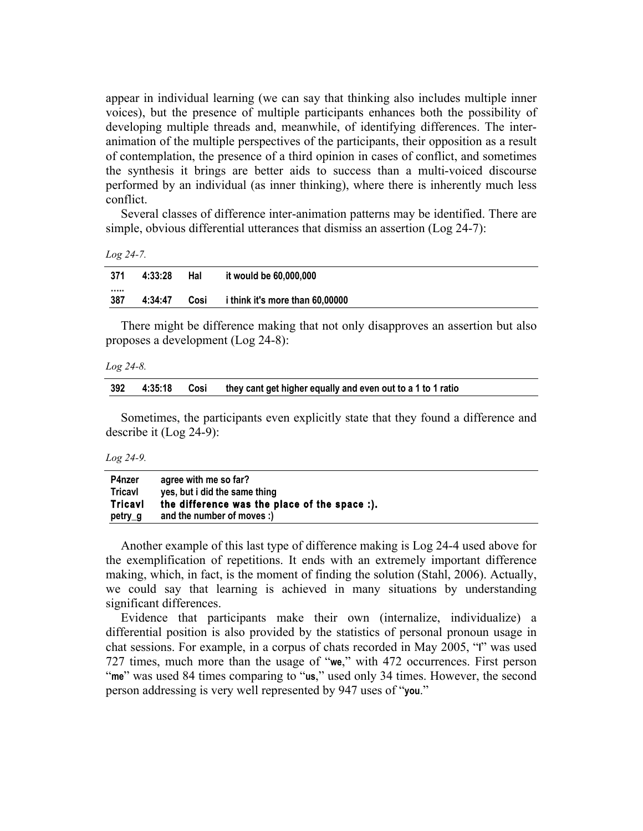appear in individual learning (we can say that thinking also includes multiple inner voices), but the presence of multiple participants enhances both the possibility of developing multiple threads and, meanwhile, of identifying differences. The interanimation of the multiple perspectives of the participants, their opposition as a result of contemplation, the presence of a third opinion in cases of conflict, and sometimes the synthesis it brings are better aids to success than a multi-voiced discourse performed by an individual (as inner thinking), where there is inherently much less conflict.

Several classes of difference inter-animation patterns may be identified. There are simple, obvious differential utterances that dismiss an assertion (Log 24-7):

*Log 24-7.*

| 371     | 4:33:28 | Hal  | it would be 60,000,000          |
|---------|---------|------|---------------------------------|
| <br>387 | 4:34:47 | Cosi | i think it's more than 60,00000 |

There might be difference making that not only disapproves an assertion but also proposes a development (Log 24-8):

#### *Log 24-8.*

|  | 392 4:35:18 Cosi they cant get higher equally and even out to a 1 to 1 ratio |  |
|--|------------------------------------------------------------------------------|--|
|  |                                                                              |  |

Sometimes, the participants even explicitly state that they found a difference and describe it (Log 24-9):

#### *Log 24-9.*

| <b>P4nzer</b> | agree with me so far?                         |
|---------------|-----------------------------------------------|
| Tricavl       | yes, but i did the same thing                 |
| Tricavl       | the difference was the place of the space :). |
| $petry_g$     | and the number of moves :)                    |

Another example of this last type of difference making is Log 24-4 used above for the exemplification of repetitions. It ends with an extremely important difference making, which, in fact, is the moment of finding the solution (Stahl, 2006). Actually, we could say that learning is achieved in many situations by understanding significant differences.

Evidence that participants make their own (internalize, individualize) a differential position is also provided by the statistics of personal pronoun usage in chat sessions. For example, in a corpus of chats recorded in May 2005, "**I**" was used 727 times, much more than the usage of "**we**," with 472 occurrences. First person "me" was used 84 times comparing to "us," used only 34 times. However, the second person addressing is very well represented by 947 uses of "**you**."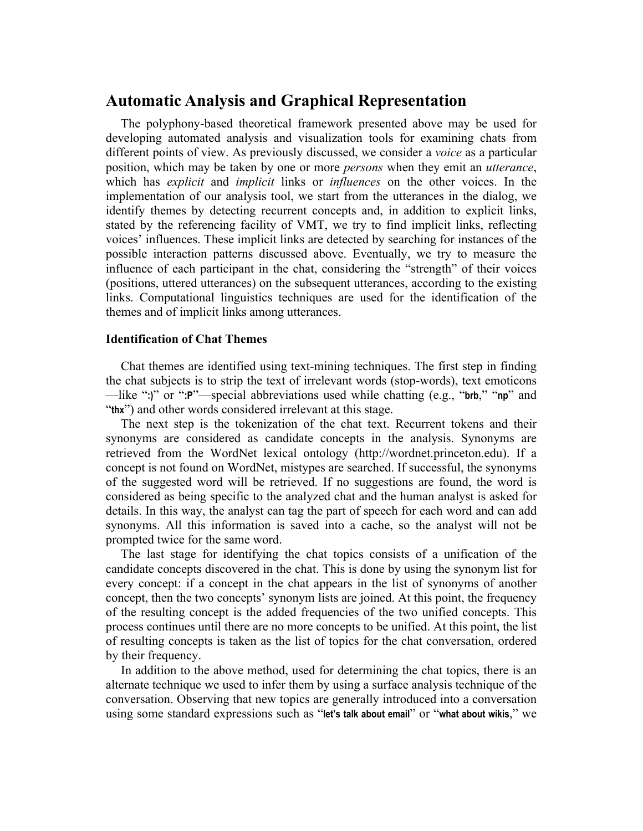## **Automatic Analysis and Graphical Representation**

The polyphony-based theoretical framework presented above may be used for developing automated analysis and visualization tools for examining chats from different points of view. As previously discussed, we consider a *voice* as a particular position, which may be taken by one or more *persons* when they emit an *utterance*, which has *explicit* and *implicit* links or *influences* on the other voices. In the implementation of our analysis tool, we start from the utterances in the dialog, we identify themes by detecting recurrent concepts and, in addition to explicit links, stated by the referencing facility of VMT, we try to find implicit links, reflecting voices' influences. These implicit links are detected by searching for instances of the possible interaction patterns discussed above. Eventually, we try to measure the influence of each participant in the chat, considering the "strength" of their voices (positions, uttered utterances) on the subsequent utterances, according to the existing links. Computational linguistics techniques are used for the identification of the themes and of implicit links among utterances.

#### **Identification of Chat Themes**

Chat themes are identified using text-mining techniques. The first step in finding the chat subjects is to strip the text of irrelevant words (stop-words), text emoticons —like "**:)**" or "**:P**"—special abbreviations used while chatting (e.g., "**brb**," "**np**" and "thx") and other words considered irrelevant at this stage.

The next step is the tokenization of the chat text. Recurrent tokens and their synonyms are considered as candidate concepts in the analysis. Synonyms are retrieved from the WordNet lexical ontology (http://wordnet.princeton.edu). If a concept is not found on WordNet, mistypes are searched. If successful, the synonyms of the suggested word will be retrieved. If no suggestions are found, the word is considered as being specific to the analyzed chat and the human analyst is asked for details. In this way, the analyst can tag the part of speech for each word and can add synonyms. All this information is saved into a cache, so the analyst will not be prompted twice for the same word.

The last stage for identifying the chat topics consists of a unification of the candidate concepts discovered in the chat. This is done by using the synonym list for every concept: if a concept in the chat appears in the list of synonyms of another concept, then the two concepts' synonym lists are joined. At this point, the frequency of the resulting concept is the added frequencies of the two unified concepts. This process continues until there are no more concepts to be unified. At this point, the list of resulting concepts is taken as the list of topics for the chat conversation, ordered by their frequency.

In addition to the above method, used for determining the chat topics, there is an alternate technique we used to infer them by using a surface analysis technique of the conversation. Observing that new topics are generally introduced into a conversation using some standard expressions such as "**let's talk about email**" or "**what about wikis**," we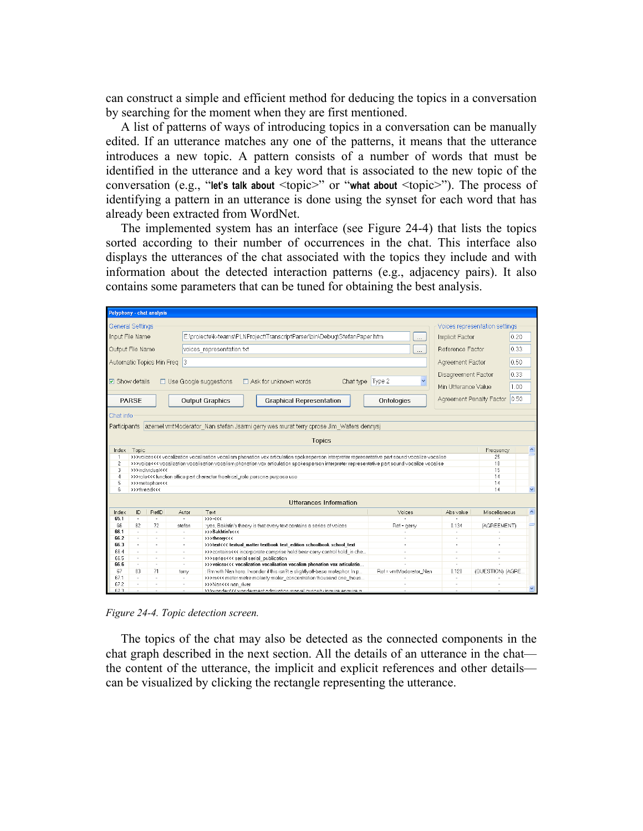can construct a simple and efficient method for deducing the topics in a conversation by searching for the moment when they are first mentioned.

A list of patterns of ways of introducing topics in a conversation can be manually edited. If an utterance matches any one of the patterns, it means that the utterance introduces a new topic. A pattern consists of a number of words that must be identified in the utterance and a key word that is associated to the new topic of the conversation (e.g., "**let's talk about** <topic>" or "**what about** <topic>"). The process of identifying a pattern in an utterance is done using the synset for each word that has already been extracted from WordNet.

The implemented system has an interface (see Figure 24-4) that lists the topics sorted according to their number of occurrences in the chat. This interface also displays the utterances of the chat associated with the topics they include and with information about the detected interaction patterns (e.g., adjacency pairs). It also contains some parameters that can be tuned for obtaining the best analysis.

|                         |                          | Polyphony - chat analysis      |                          |                                                                     |                                                                                                                                                 |                        |                                            |                                |                          |
|-------------------------|--------------------------|--------------------------------|--------------------------|---------------------------------------------------------------------|-------------------------------------------------------------------------------------------------------------------------------------------------|------------------------|--------------------------------------------|--------------------------------|--------------------------|
| <b>General Settings</b> |                          |                                |                          |                                                                     |                                                                                                                                                 |                        |                                            | Voices representation settings |                          |
| Input File Name         |                          |                                |                          |                                                                     | E:\proiecte\k-teams\PLNProject\TranscriptParser\bin\Debuq\StefanPaper.htm                                                                       | $\cdots$               | Implicit Factor                            |                                | 0.20                     |
|                         |                          |                                |                          |                                                                     |                                                                                                                                                 |                        |                                            |                                |                          |
| Output File Name        |                          |                                |                          | voices representation.txt                                           |                                                                                                                                                 | $\ddotsc$              | Reference Factor                           |                                | 0.33                     |
|                         |                          | Automatic Topics Min Freq 3    |                          |                                                                     |                                                                                                                                                 |                        | Agreement Factor                           |                                | 0.50                     |
|                         |                          |                                |                          |                                                                     |                                                                                                                                                 |                        |                                            |                                | 0.33                     |
| <b>☑</b> Show details   |                          |                                |                          | □ Use Google suggestions                                            | □ Ask for unknown words                                                                                                                         | Chat type Type 2       | Disagreement Factor<br>Min Utterance Value |                                | 1.00                     |
|                         |                          |                                |                          |                                                                     |                                                                                                                                                 |                        |                                            |                                |                          |
|                         | PARSE                    |                                |                          | <b>Output Graphics</b>                                              | <b>Graphical Representation</b>                                                                                                                 | Ontologies             |                                            | Agreement Penalty Factor       | 0.50                     |
| Chat info               |                          |                                |                          |                                                                     |                                                                                                                                                 |                        |                                            |                                |                          |
| Participants            |                          |                                |                          |                                                                     | azemel ymtModerator Nan stefan Jsarmi gerry wes murat terry cprose Jim Waters dennysj                                                           |                        |                                            |                                |                          |
|                         |                          |                                |                          |                                                                     |                                                                                                                                                 |                        |                                            |                                |                          |
|                         |                          |                                |                          |                                                                     | <b>Topics</b>                                                                                                                                   |                        |                                            |                                |                          |
|                         | Index   Topic            |                                |                          |                                                                     |                                                                                                                                                 |                        |                                            | Frequency                      | $\blacktriangle$         |
| $\mathbf{1}$            |                          |                                |                          |                                                                     | >>>voices<<< vocalization vocalisation vocalism phonation vox articulation spokesperson interpreter representative part sound vocalize vocalise |                        |                                            | 25                             |                          |
| $\overline{c}$          |                          |                                |                          |                                                                     | >>>voice<<< vocalization vocalisation vocalism phonation vox articulation spokesperson interpreter representative part sound vocalize vocalise  |                        |                                            | 18                             |                          |
| 3                       |                          | >>>individual<<<               |                          |                                                                     |                                                                                                                                                 |                        |                                            | 15                             |                          |
| 4                       |                          |                                |                          |                                                                     | >>>role<<< function office part character theatrical_role persona purpose use                                                                   |                        |                                            | 14                             |                          |
| 5<br>ĥ                  |                          | >>>metaphor<<<<br>>>>thread<<< |                          |                                                                     |                                                                                                                                                 |                        |                                            | 14<br>14                       | $\checkmark$             |
|                         |                          |                                |                          |                                                                     |                                                                                                                                                 |                        |                                            |                                |                          |
|                         |                          |                                |                          |                                                                     | Utterances Information                                                                                                                          |                        |                                            |                                |                          |
| Index                   | ID                       | RefID                          |                          | Text<br>Autor                                                       |                                                                                                                                                 | Voices                 | Abs value                                  | Miscellaneous                  | $\overline{\phantom{a}}$ |
| 65.1                    | $\sim$                   | ٠                              | $\sim$                   | $>>$ -<<<                                                           |                                                                                                                                                 |                        |                                            |                                |                          |
| 66                      | 82                       | 72                             | stefan                   |                                                                     | : yes, Bakhtin's theory is that every text contains a series of voices                                                                          | Ref = gerry            | 0.134                                      | (AGREEMENT)                    | ≘                        |
| 66.1                    | $\overline{\phantom{a}}$ | $\sim$                         |                          | >>>Bakhtin's<<<<br>$\cdot$                                          |                                                                                                                                                 |                        |                                            |                                |                          |
| 66.2                    | $\sim$                   | $\sim$                         | $\overline{\phantom{a}}$ | >>>theory<<<                                                        |                                                                                                                                                 |                        | ÷.                                         |                                |                          |
| 66.3                    | $\mathbf{r}$             | ×                              | $\cdot$                  |                                                                     | >>>text<<< textual_matter textbook text_edition schoolbook school_text                                                                          |                        | ٠                                          |                                |                          |
| 66.4                    | $\sim$                   | $\sim$                         | $\sim$                   |                                                                     | >>>contains<<< incorporate comprise hold bear carry control hold in che                                                                         |                        | $\sim$                                     |                                |                          |
| 66.5                    | $\sim$                   | $\blacksquare$                 | $\overline{\phantom{a}}$ |                                                                     | >>>series<<< serial serial publication                                                                                                          |                        | ٠                                          |                                |                          |
| 66.6                    | $\sim$                   | $\sim$                         | $\sim$                   |                                                                     | >>>voices<<< vocalization vocalisation vocalism phonation vox articulatio                                                                       |                        | $\sim$                                     |                                |                          |
| 67                      | 83                       | 71                             | terry                    |                                                                     | : 1?m with Nan here. I wonder if this isn?t a slightlyoff-base metaphor. In p                                                                   | Ref = vmtModerator_Nan | 0.120                                      | (QUESTION) (AGRE               |                          |
| 67.1                    | $\sim$                   | $\sim$                         | $\sim$                   | >>>m<<< meter metre molarity molar concentration thousand one thous | ٠                                                                                                                                               |                        |                                            |                                |                          |
| 67.2                    | ٠                        | $\sim$                         | $\sim$                   | >>>Nan<<< nan river                                                 |                                                                                                                                                 |                        | ×.                                         |                                | $\checkmark$             |
| 673                     |                          |                                |                          |                                                                     | 555wandereee wonderment admiration manual curiosity inquire enquire a                                                                           |                        |                                            |                                |                          |

*Figure 24-4. Topic detection screen.*

The topics of the chat may also be detected as the connected components in the chat graph described in the next section. All the details of an utterance in the chat the content of the utterance, the implicit and explicit references and other details can be visualized by clicking the rectangle representing the utterance.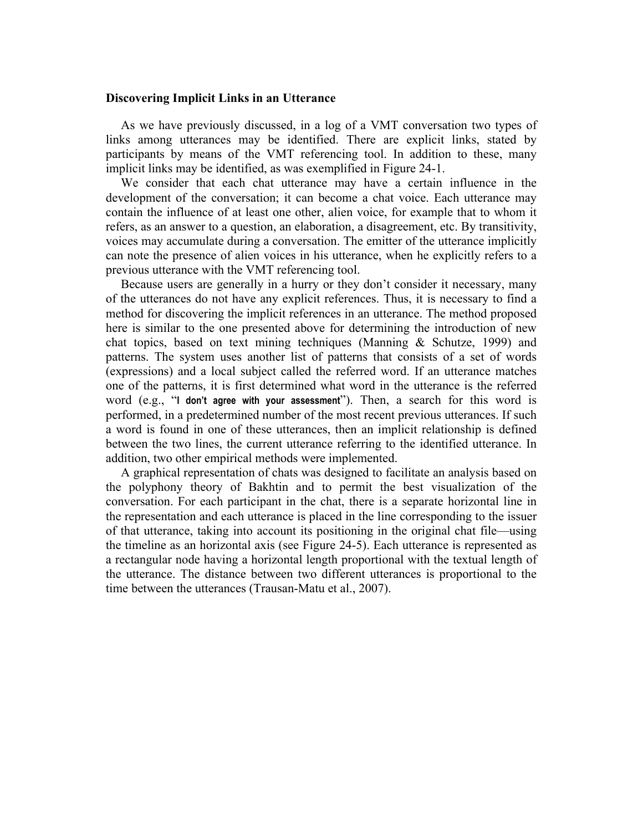#### **Discovering Implicit Links in an Utterance**

As we have previously discussed, in a log of a VMT conversation two types of links among utterances may be identified. There are explicit links, stated by participants by means of the VMT referencing tool. In addition to these, many implicit links may be identified, as was exemplified in Figure 24-1.

We consider that each chat utterance may have a certain influence in the development of the conversation; it can become a chat voice. Each utterance may contain the influence of at least one other, alien voice, for example that to whom it refers, as an answer to a question, an elaboration, a disagreement, etc. By transitivity, voices may accumulate during a conversation. The emitter of the utterance implicitly can note the presence of alien voices in his utterance, when he explicitly refers to a previous utterance with the VMT referencing tool.

Because users are generally in a hurry or they don't consider it necessary, many of the utterances do not have any explicit references. Thus, it is necessary to find a method for discovering the implicit references in an utterance. The method proposed here is similar to the one presented above for determining the introduction of new chat topics, based on text mining techniques (Manning & Schutze, 1999) and patterns. The system uses another list of patterns that consists of a set of words (expressions) and a local subject called the referred word. If an utterance matches one of the patterns, it is first determined what word in the utterance is the referred word (e.g., "**I don't agree with your assessment**"). Then, a search for this word is performed, in a predetermined number of the most recent previous utterances. If such a word is found in one of these utterances, then an implicit relationship is defined between the two lines, the current utterance referring to the identified utterance. In addition, two other empirical methods were implemented.

A graphical representation of chats was designed to facilitate an analysis based on the polyphony theory of Bakhtin and to permit the best visualization of the conversation. For each participant in the chat, there is a separate horizontal line in the representation and each utterance is placed in the line corresponding to the issuer of that utterance, taking into account its positioning in the original chat file—using the timeline as an horizontal axis (see Figure 24-5). Each utterance is represented as a rectangular node having a horizontal length proportional with the textual length of the utterance. The distance between two different utterances is proportional to the time between the utterances (Trausan-Matu et al., 2007).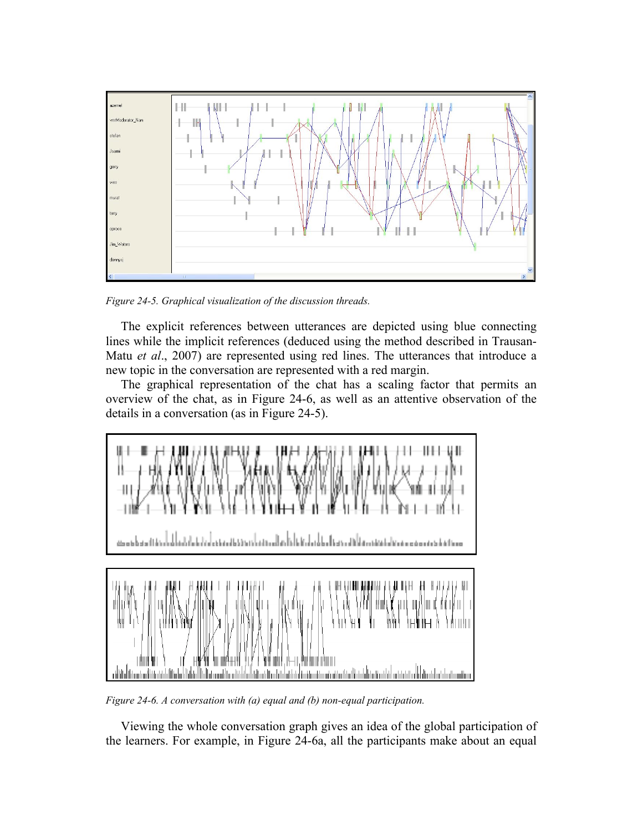

*Figure 24-5. Graphical visualization of the discussion threads.*

The explicit references between utterances are depicted using blue connecting lines while the implicit references (deduced using the method described in Trausan-Matu *et al*., 2007) are represented using red lines. The utterances that introduce a new topic in the conversation are represented with a red margin.

The graphical representation of the chat has a scaling factor that permits an overview of the chat, as in Figure 24-6, as well as an attentive observation of the details in a conversation (as in Figure 24-5).



*Figure 24-6. A conversation with (a) equal and (b) non-equal participation.*

Viewing the whole conversation graph gives an idea of the global participation of the learners. For example, in Figure 24-6a, all the participants make about an equal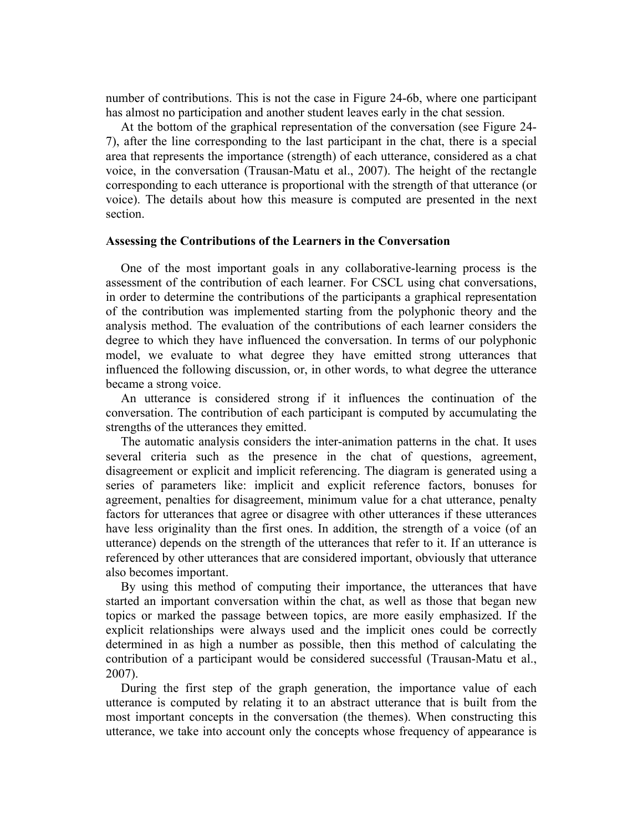number of contributions. This is not the case in Figure 24-6b, where one participant has almost no participation and another student leaves early in the chat session.

At the bottom of the graphical representation of the conversation (see Figure 24- 7), after the line corresponding to the last participant in the chat, there is a special area that represents the importance (strength) of each utterance, considered as a chat voice, in the conversation (Trausan-Matu et al., 2007). The height of the rectangle corresponding to each utterance is proportional with the strength of that utterance (or voice). The details about how this measure is computed are presented in the next section.

### **Assessing the Contributions of the Learners in the Conversation**

One of the most important goals in any collaborative-learning process is the assessment of the contribution of each learner. For CSCL using chat conversations, in order to determine the contributions of the participants a graphical representation of the contribution was implemented starting from the polyphonic theory and the analysis method. The evaluation of the contributions of each learner considers the degree to which they have influenced the conversation. In terms of our polyphonic model, we evaluate to what degree they have emitted strong utterances that influenced the following discussion, or, in other words, to what degree the utterance became a strong voice.

An utterance is considered strong if it influences the continuation of the conversation. The contribution of each participant is computed by accumulating the strengths of the utterances they emitted.

The automatic analysis considers the inter-animation patterns in the chat. It uses several criteria such as the presence in the chat of questions, agreement, disagreement or explicit and implicit referencing. The diagram is generated using a series of parameters like: implicit and explicit reference factors, bonuses for agreement, penalties for disagreement, minimum value for a chat utterance, penalty factors for utterances that agree or disagree with other utterances if these utterances have less originality than the first ones. In addition, the strength of a voice (of an utterance) depends on the strength of the utterances that refer to it. If an utterance is referenced by other utterances that are considered important, obviously that utterance also becomes important.

By using this method of computing their importance, the utterances that have started an important conversation within the chat, as well as those that began new topics or marked the passage between topics, are more easily emphasized. If the explicit relationships were always used and the implicit ones could be correctly determined in as high a number as possible, then this method of calculating the contribution of a participant would be considered successful (Trausan-Matu et al., 2007).

During the first step of the graph generation, the importance value of each utterance is computed by relating it to an abstract utterance that is built from the most important concepts in the conversation (the themes). When constructing this utterance, we take into account only the concepts whose frequency of appearance is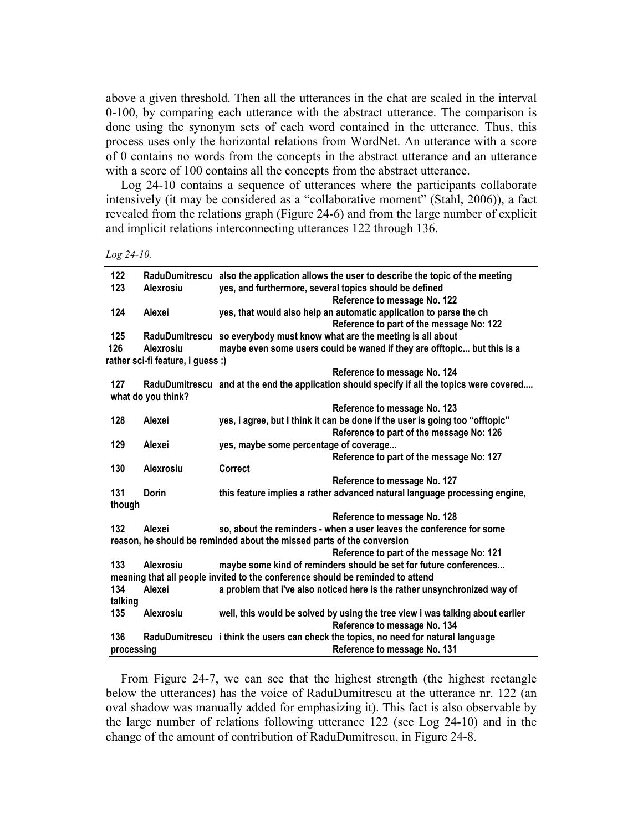above a given threshold. Then all the utterances in the chat are scaled in the interval 0-100, by comparing each utterance with the abstract utterance. The comparison is done using the synonym sets of each word contained in the utterance. Thus, this process uses only the horizontal relations from WordNet. An utterance with a score of 0 contains no words from the concepts in the abstract utterance and an utterance with a score of 100 contains all the concepts from the abstract utterance.

Log 24-10 contains a sequence of utterances where the participants collaborate intensively (it may be considered as a "collaborative moment" (Stahl, 2006)), a fact revealed from the relations graph (Figure 24-6) and from the large number of explicit and implicit relations interconnecting utterances 122 through 136.

*Log 24-10.*

| 122<br>RaduDumitrescu also the application allows the user to describe the topic of the meeting          |  |
|----------------------------------------------------------------------------------------------------------|--|
| 123<br>yes, and furthermore, several topics should be defined<br>Alexrosiu                               |  |
| Reference to message No. 122                                                                             |  |
| 124<br>Alexei<br>yes, that would also help an automatic application to parse the ch                      |  |
| Reference to part of the message No: 122                                                                 |  |
| RaduDumitrescu so everybody must know what are the meeting is all about<br>125                           |  |
| <b>Alexrosiu</b><br>maybe even some users could be waned if they are offtopic but this is a<br>126       |  |
| rather sci-fi feature, i guess :)                                                                        |  |
| Reference to message No. 124                                                                             |  |
| RaduDumitrescu and at the end the application should specify if all the topics were covered<br>127       |  |
| what do you think?                                                                                       |  |
| Reference to message No. 123                                                                             |  |
| yes, i agree, but I think it can be done if the user is going too "offtopic"<br>Alexei<br>128            |  |
| Reference to part of the message No: 126                                                                 |  |
| 129<br>Alexei<br>yes, maybe some percentage of coverage                                                  |  |
| Reference to part of the message No: 127                                                                 |  |
| 130<br>Alexrosiu<br><b>Correct</b>                                                                       |  |
| Reference to message No. 127                                                                             |  |
| 131<br><b>Dorin</b><br>this feature implies a rather advanced natural language processing engine,        |  |
| though                                                                                                   |  |
| Reference to message No. 128                                                                             |  |
| 132<br>Alexei<br>so, about the reminders - when a user leaves the conference for some                    |  |
| reason, he should be reminded about the missed parts of the conversion                                   |  |
| Reference to part of the message No: 121                                                                 |  |
| maybe some kind of reminders should be set for future conferences<br>133<br>Alexrosiu                    |  |
| meaning that all people invited to the conference should be reminded to attend                           |  |
| 134<br>Alexei<br>a problem that i've also noticed here is the rather unsynchronized way of               |  |
| talking                                                                                                  |  |
| <b>Alexrosiu</b><br>well, this would be solved by using the tree view i was talking about earlier<br>135 |  |
| Reference to message No. 134                                                                             |  |
| RaduDumitrescu i think the users can check the topics, no need for natural language<br>136               |  |
| Reference to message No. 131<br>processing                                                               |  |

From Figure 24-7, we can see that the highest strength (the highest rectangle below the utterances) has the voice of RaduDumitrescu at the utterance nr. 122 (an oval shadow was manually added for emphasizing it). This fact is also observable by the large number of relations following utterance 122 (see Log 24-10) and in the change of the amount of contribution of RaduDumitrescu, in Figure 24-8.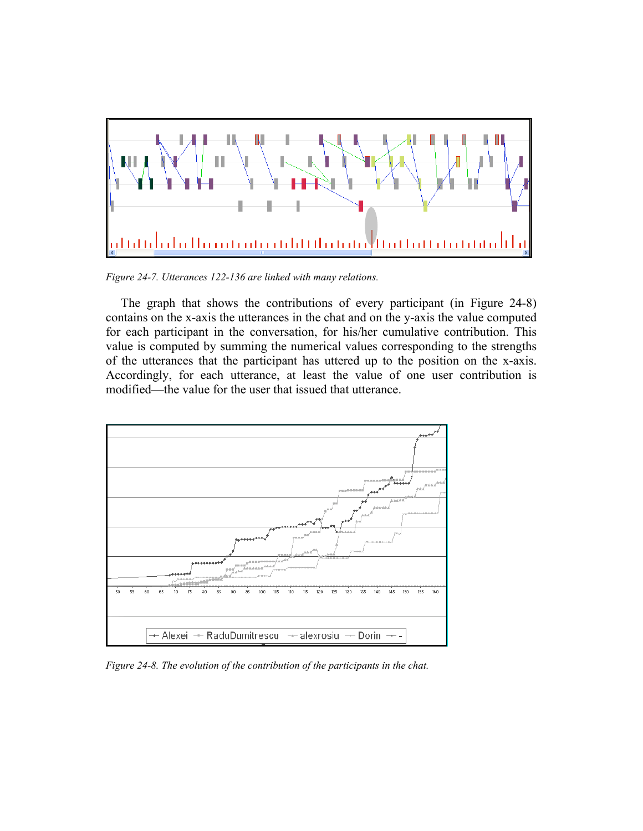

*Figure 24-7. Utterances 122-136 are linked with many relations.*

The graph that shows the contributions of every participant (in Figure 24-8) contains on the x-axis the utterances in the chat and on the y-axis the value computed for each participant in the conversation, for his/her cumulative contribution. This value is computed by summing the numerical values corresponding to the strengths of the utterances that the participant has uttered up to the position on the x-axis. Accordingly, for each utterance, at least the value of one user contribution is modified—the value for the user that issued that utterance.



*Figure 24-8. The evolution of the contribution of the participants in the chat.*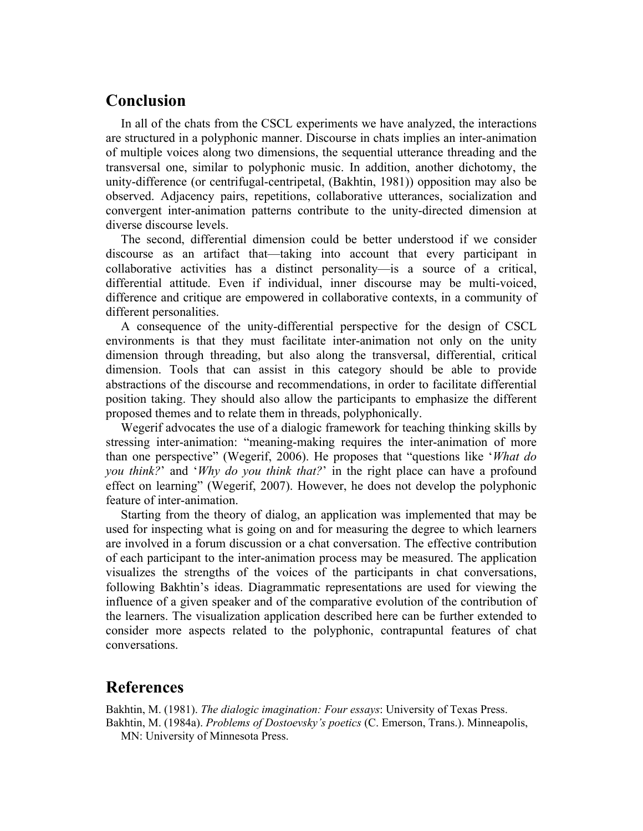## **Conclusion**

In all of the chats from the CSCL experiments we have analyzed, the interactions are structured in a polyphonic manner. Discourse in chats implies an inter-animation of multiple voices along two dimensions, the sequential utterance threading and the transversal one, similar to polyphonic music. In addition, another dichotomy, the unity-difference (or centrifugal-centripetal, (Bakhtin, 1981)) opposition may also be observed. Adjacency pairs, repetitions, collaborative utterances, socialization and convergent inter-animation patterns contribute to the unity-directed dimension at diverse discourse levels.

The second, differential dimension could be better understood if we consider discourse as an artifact that—taking into account that every participant in collaborative activities has a distinct personality—is a source of a critical, differential attitude. Even if individual, inner discourse may be multi-voiced, difference and critique are empowered in collaborative contexts, in a community of different personalities.

A consequence of the unity-differential perspective for the design of CSCL environments is that they must facilitate inter-animation not only on the unity dimension through threading, but also along the transversal, differential, critical dimension. Tools that can assist in this category should be able to provide abstractions of the discourse and recommendations, in order to facilitate differential position taking. They should also allow the participants to emphasize the different proposed themes and to relate them in threads, polyphonically.

Wegerif advocates the use of a dialogic framework for teaching thinking skills by stressing inter-animation: "meaning-making requires the inter-animation of more than one perspective" (Wegerif, 2006). He proposes that "questions like '*What do you think?*' and '*Why do you think that?*' in the right place can have a profound effect on learning" (Wegerif, 2007). However, he does not develop the polyphonic feature of inter-animation.

Starting from the theory of dialog, an application was implemented that may be used for inspecting what is going on and for measuring the degree to which learners are involved in a forum discussion or a chat conversation. The effective contribution of each participant to the inter-animation process may be measured. The application visualizes the strengths of the voices of the participants in chat conversations, following Bakhtin's ideas. Diagrammatic representations are used for viewing the influence of a given speaker and of the comparative evolution of the contribution of the learners. The visualization application described here can be further extended to consider more aspects related to the polyphonic, contrapuntal features of chat conversations.

# **References**

Bakhtin, M. (1981). *The dialogic imagination: Four essays*: University of Texas Press. Bakhtin, M. (1984a). *Problems of Dostoevsky's poetics* (C. Emerson, Trans.). Minneapolis, MN: University of Minnesota Press.